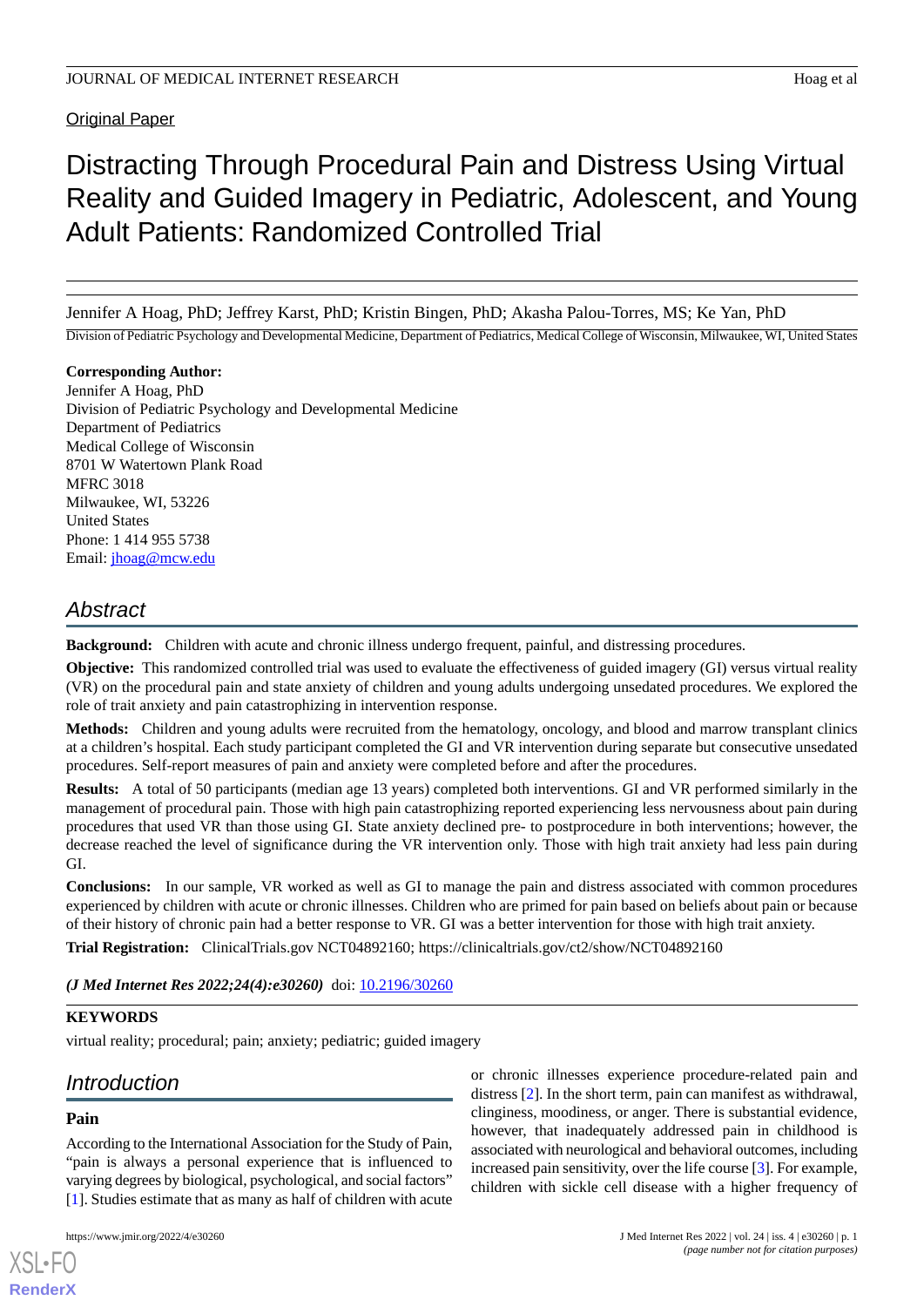**Original Paper** 

# Distracting Through Procedural Pain and Distress Using Virtual Reality and Guided Imagery in Pediatric, Adolescent, and Young Adult Patients: Randomized Controlled Trial

Jennifer A Hoag, PhD; Jeffrey Karst, PhD; Kristin Bingen, PhD; Akasha Palou-Torres, MS; Ke Yan, PhD

Division of Pediatric Psychology and Developmental Medicine, Department of Pediatrics, Medical College of Wisconsin, Milwaukee, WI, United States

**Corresponding Author:** Jennifer A Hoag, PhD Division of Pediatric Psychology and Developmental Medicine Department of Pediatrics Medical College of Wisconsin 8701 W Watertown Plank Road MFRC 3018 Milwaukee, WI, 53226 United States Phone: 1 414 955 5738 Email: [jhoag@mcw.edu](mailto:jhoag@mcw.edu)

# *Abstract*

**Background:** Children with acute and chronic illness undergo frequent, painful, and distressing procedures.

**Objective:** This randomized controlled trial was used to evaluate the effectiveness of guided imagery (GI) versus virtual reality (VR) on the procedural pain and state anxiety of children and young adults undergoing unsedated procedures. We explored the role of trait anxiety and pain catastrophizing in intervention response.

**Methods:** Children and young adults were recruited from the hematology, oncology, and blood and marrow transplant clinics at a children's hospital. Each study participant completed the GI and VR intervention during separate but consecutive unsedated procedures. Self-report measures of pain and anxiety were completed before and after the procedures.

**Results:** A total of 50 participants (median age 13 years) completed both interventions. GI and VR performed similarly in the management of procedural pain. Those with high pain catastrophizing reported experiencing less nervousness about pain during procedures that used VR than those using GI. State anxiety declined pre- to postprocedure in both interventions; however, the decrease reached the level of significance during the VR intervention only. Those with high trait anxiety had less pain during GI.

**Conclusions:** In our sample, VR worked as well as GI to manage the pain and distress associated with common procedures experienced by children with acute or chronic illnesses. Children who are primed for pain based on beliefs about pain or because of their history of chronic pain had a better response to VR. GI was a better intervention for those with high trait anxiety.

**Trial Registration:** ClinicalTrials.gov NCT04892160; https://clinicaltrials.gov/ct2/show/NCT04892160

(*J Med Internet Res 2022;24(4):e30260*) doi: **[10.2196/30260](http://dx.doi.org/10.2196/30260)** 

# **KEYWORDS**

virtual reality; procedural; pain; anxiety; pediatric; guided imagery

# *Introduction*

# **Pain**

[XSL](http://www.w3.org/Style/XSL)•FO **[RenderX](http://www.renderx.com/)**

According to the International Association for the Study of Pain, "pain is always a personal experience that is influenced to varying degrees by biological, psychological, and social factors" [[1\]](#page-9-0). Studies estimate that as many as half of children with acute

or chronic illnesses experience procedure-related pain and distress [\[2](#page-9-1)]. In the short term, pain can manifest as withdrawal, clinginess, moodiness, or anger. There is substantial evidence, however, that inadequately addressed pain in childhood is associated with neurological and behavioral outcomes, including increased pain sensitivity, over the life course [[3\]](#page-9-2). For example, children with sickle cell disease with a higher frequency of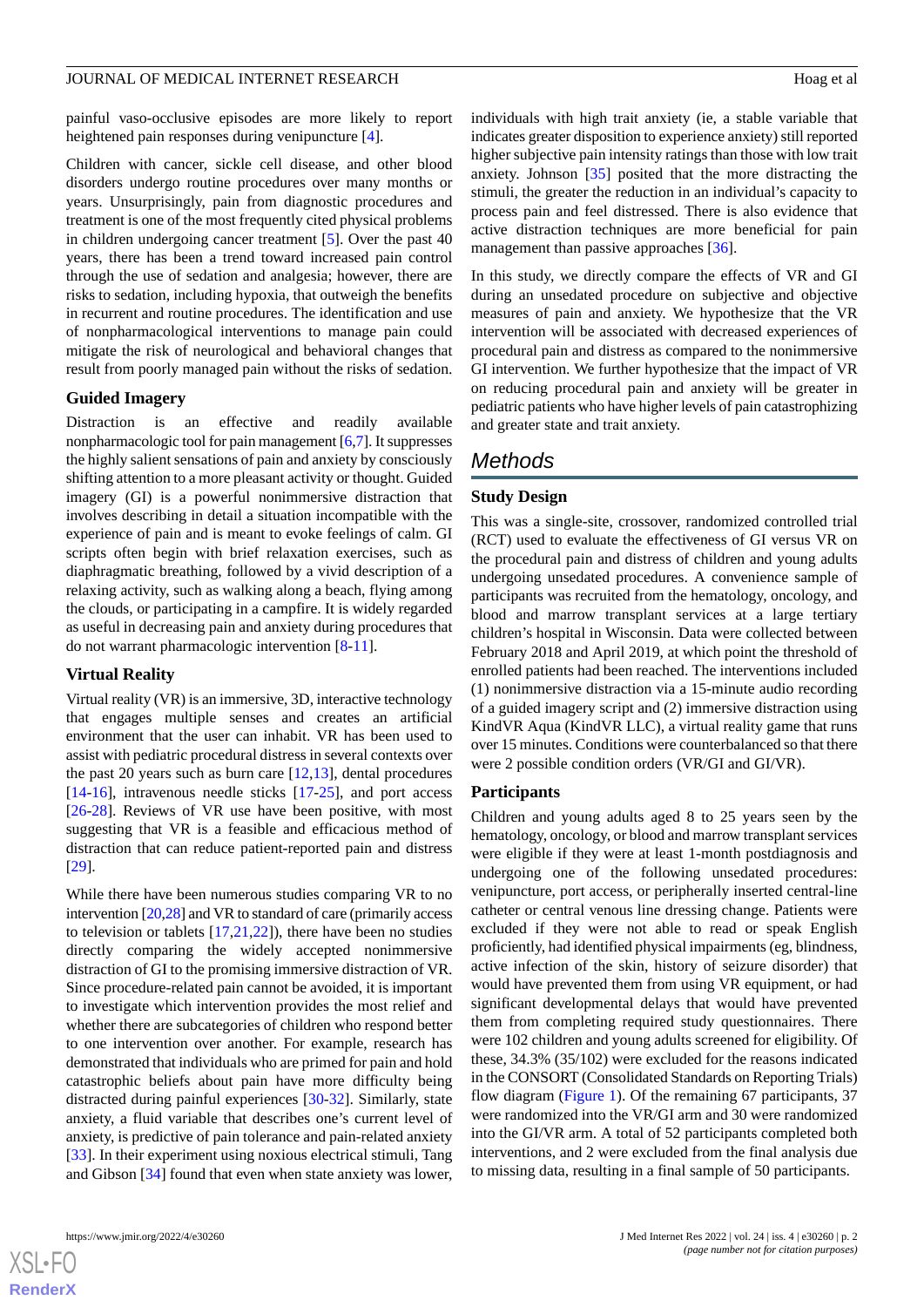#### JOURNAL OF MEDICAL INTERNET RESEARCH FOR THE SERIES OF A HOAG ET al.

painful vaso-occlusive episodes are more likely to report heightened pain responses during venipuncture [\[4\]](#page-9-3).

Children with cancer, sickle cell disease, and other blood disorders undergo routine procedures over many months or years. Unsurprisingly, pain from diagnostic procedures and treatment is one of the most frequently cited physical problems in children undergoing cancer treatment [[5\]](#page-9-4). Over the past 40 years, there has been a trend toward increased pain control through the use of sedation and analgesia; however, there are risks to sedation, including hypoxia, that outweigh the benefits in recurrent and routine procedures. The identification and use of nonpharmacological interventions to manage pain could mitigate the risk of neurological and behavioral changes that result from poorly managed pain without the risks of sedation.

#### **Guided Imagery**

Distraction is an effective and readily available nonpharmacologic tool for pain management [\[6](#page-9-5)[,7](#page-9-6)]. It suppresses the highly salient sensations of pain and anxiety by consciously shifting attention to a more pleasant activity or thought. Guided imagery (GI) is a powerful nonimmersive distraction that involves describing in detail a situation incompatible with the experience of pain and is meant to evoke feelings of calm. GI scripts often begin with brief relaxation exercises, such as diaphragmatic breathing, followed by a vivid description of a relaxing activity, such as walking along a beach, flying among the clouds, or participating in a campfire. It is widely regarded as useful in decreasing pain and anxiety during procedures that do not warrant pharmacologic intervention [\[8](#page-9-7)-[11\]](#page-9-8).

#### **Virtual Reality**

Virtual reality (VR) is an immersive, 3D, interactive technology that engages multiple senses and creates an artificial environment that the user can inhabit. VR has been used to assist with pediatric procedural distress in several contexts over the past 20 years such as burn care  $[12,13]$  $[12,13]$  $[12,13]$ , dental procedures [[14](#page-9-11)[-16](#page-9-12)], intravenous needle sticks [\[17](#page-9-13)-[25\]](#page-10-0), and port access [[26](#page-10-1)[-28](#page-10-2)]. Reviews of VR use have been positive, with most suggesting that VR is a feasible and efficacious method of distraction that can reduce patient-reported pain and distress [[29\]](#page-10-3).

While there have been numerous studies comparing VR to no intervention [\[20](#page-10-4),[28](#page-10-2)] and VR to standard of care (primarily access to television or tablets [\[17](#page-9-13),[21,](#page-10-5)[22](#page-10-6)]), there have been no studies directly comparing the widely accepted nonimmersive distraction of GI to the promising immersive distraction of VR. Since procedure-related pain cannot be avoided, it is important to investigate which intervention provides the most relief and whether there are subcategories of children who respond better to one intervention over another. For example, research has demonstrated that individuals who are primed for pain and hold catastrophic beliefs about pain have more difficulty being distracted during painful experiences [[30-](#page-10-7)[32](#page-10-8)]. Similarly, state anxiety, a fluid variable that describes one's current level of anxiety, is predictive of pain tolerance and pain-related anxiety [[33\]](#page-10-9). In their experiment using noxious electrical stimuli, Tang and Gibson [[34\]](#page-10-10) found that even when state anxiety was lower,

individuals with high trait anxiety (ie, a stable variable that indicates greater disposition to experience anxiety) still reported higher subjective pain intensity ratings than those with low trait anxiety. Johnson [\[35](#page-10-11)] posited that the more distracting the stimuli, the greater the reduction in an individual's capacity to process pain and feel distressed. There is also evidence that active distraction techniques are more beneficial for pain management than passive approaches [\[36](#page-10-12)].

In this study, we directly compare the effects of VR and GI during an unsedated procedure on subjective and objective measures of pain and anxiety. We hypothesize that the VR intervention will be associated with decreased experiences of procedural pain and distress as compared to the nonimmersive GI intervention. We further hypothesize that the impact of VR on reducing procedural pain and anxiety will be greater in pediatric patients who have higher levels of pain catastrophizing and greater state and trait anxiety.

# *Methods*

#### **Study Design**

This was a single-site, crossover, randomized controlled trial (RCT) used to evaluate the effectiveness of GI versus VR on the procedural pain and distress of children and young adults undergoing unsedated procedures. A convenience sample of participants was recruited from the hematology, oncology, and blood and marrow transplant services at a large tertiary children's hospital in Wisconsin. Data were collected between February 2018 and April 2019, at which point the threshold of enrolled patients had been reached. The interventions included (1) nonimmersive distraction via a 15-minute audio recording of a guided imagery script and (2) immersive distraction using KindVR Aqua (KindVR LLC), a virtual reality game that runs over 15 minutes. Conditions were counterbalanced so that there were 2 possible condition orders (VR/GI and GI/VR).

#### **Participants**

Children and young adults aged 8 to 25 years seen by the hematology, oncology, or blood and marrow transplant services were eligible if they were at least 1-month postdiagnosis and undergoing one of the following unsedated procedures: venipuncture, port access, or peripherally inserted central-line catheter or central venous line dressing change. Patients were excluded if they were not able to read or speak English proficiently, had identified physical impairments (eg, blindness, active infection of the skin, history of seizure disorder) that would have prevented them from using VR equipment, or had significant developmental delays that would have prevented them from completing required study questionnaires. There were 102 children and young adults screened for eligibility. Of these, 34.3% (35/102) were excluded for the reasons indicated in the CONSORT (Consolidated Standards on Reporting Trials) flow diagram ([Figure 1](#page-2-0)). Of the remaining 67 participants, 37 were randomized into the VR/GI arm and 30 were randomized into the GI/VR arm. A total of 52 participants completed both interventions, and 2 were excluded from the final analysis due to missing data, resulting in a final sample of 50 participants.

**[RenderX](http://www.renderx.com/)**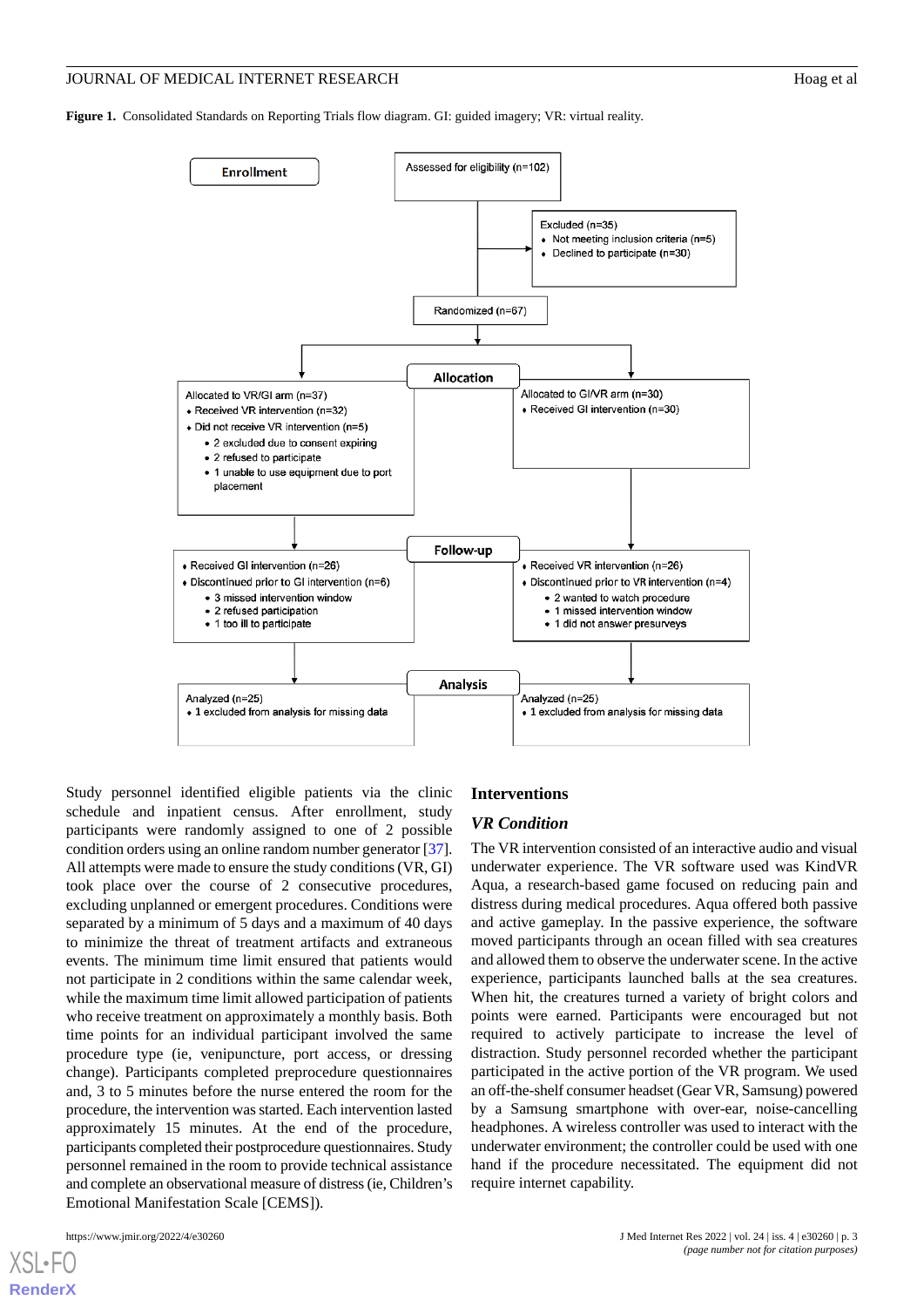#### JOURNAL OF MEDICAL INTERNET RESEARCH **Hoag et al.** Hoag et al.

<span id="page-2-0"></span>**Figure 1.** Consolidated Standards on Reporting Trials flow diagram. GI: guided imagery; VR: virtual reality.



Study personnel identified eligible patients via the clinic schedule and inpatient census. After enrollment, study participants were randomly assigned to one of 2 possible condition orders using an online random number generator [\[37\]](#page-10-13). All attempts were made to ensure the study conditions (VR, GI) took place over the course of 2 consecutive procedures, excluding unplanned or emergent procedures. Conditions were separated by a minimum of 5 days and a maximum of 40 days to minimize the threat of treatment artifacts and extraneous events. The minimum time limit ensured that patients would not participate in 2 conditions within the same calendar week, while the maximum time limit allowed participation of patients who receive treatment on approximately a monthly basis. Both time points for an individual participant involved the same procedure type (ie, venipuncture, port access, or dressing change). Participants completed preprocedure questionnaires and, 3 to 5 minutes before the nurse entered the room for the procedure, the intervention was started. Each intervention lasted approximately 15 minutes. At the end of the procedure, participants completed their postprocedure questionnaires. Study personnel remained in the room to provide technical assistance and complete an observational measure of distress (ie, Children's Emotional Manifestation Scale [CEMS]).

[XSL](http://www.w3.org/Style/XSL)•FO **[RenderX](http://www.renderx.com/)**

#### **Interventions**

### *VR Condition*

The VR intervention consisted of an interactive audio and visual underwater experience. The VR software used was KindVR Aqua, a research-based game focused on reducing pain and distress during medical procedures. Aqua offered both passive and active gameplay. In the passive experience, the software moved participants through an ocean filled with sea creatures and allowed them to observe the underwater scene. In the active experience, participants launched balls at the sea creatures. When hit, the creatures turned a variety of bright colors and points were earned. Participants were encouraged but not required to actively participate to increase the level of distraction. Study personnel recorded whether the participant participated in the active portion of the VR program. We used an off-the-shelf consumer headset (Gear VR, Samsung) powered by a Samsung smartphone with over-ear, noise-cancelling headphones. A wireless controller was used to interact with the underwater environment; the controller could be used with one hand if the procedure necessitated. The equipment did not require internet capability.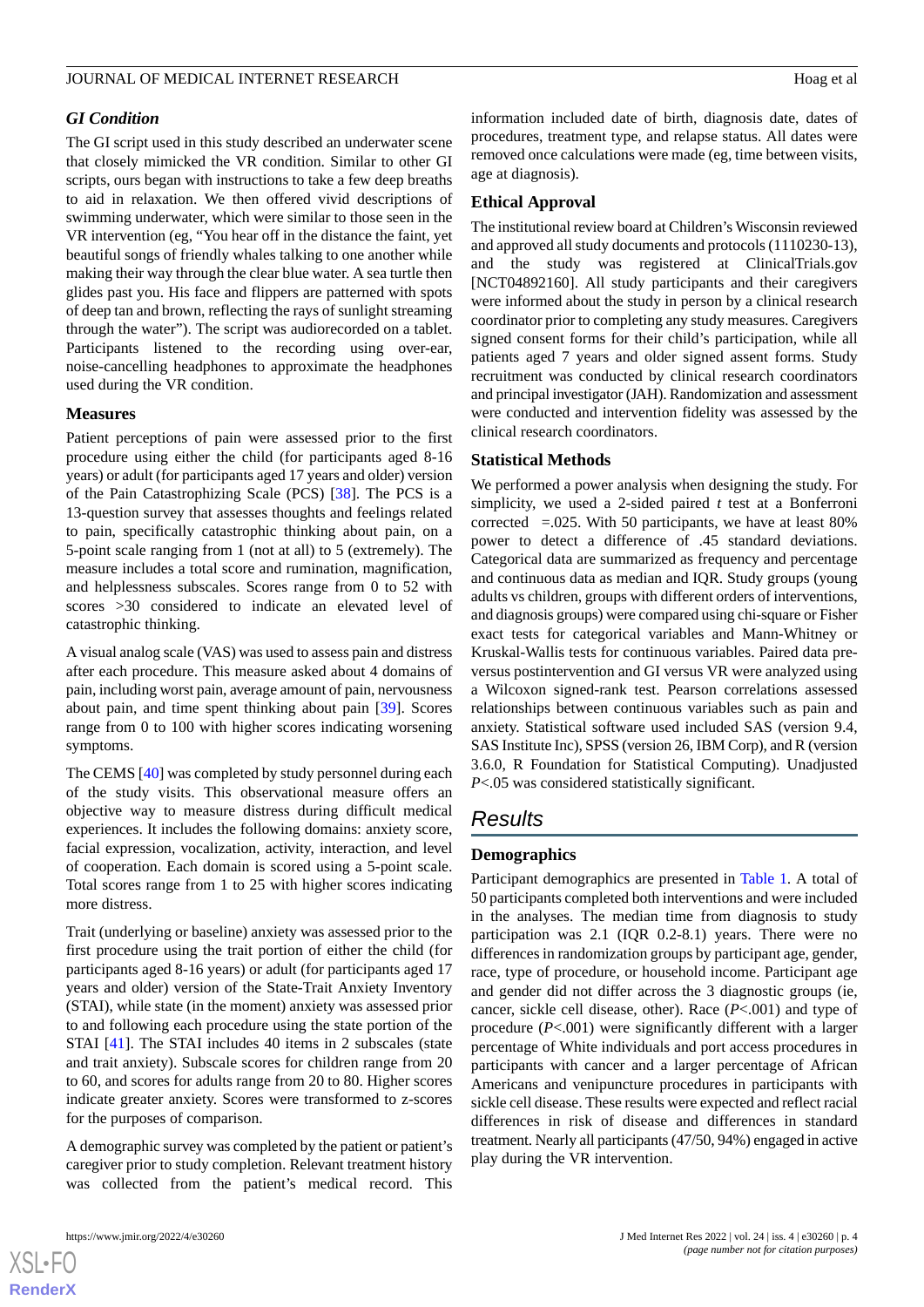#### JOURNAL OF MEDICAL INTERNET RESEARCH FOR THE SERIES OF A HOAG ET al.

### *GI Condition*

The GI script used in this study described an underwater scene that closely mimicked the VR condition. Similar to other GI scripts, ours began with instructions to take a few deep breaths to aid in relaxation. We then offered vivid descriptions of swimming underwater, which were similar to those seen in the VR intervention (eg, "You hear off in the distance the faint, yet beautiful songs of friendly whales talking to one another while making their way through the clear blue water. A sea turtle then glides past you. His face and flippers are patterned with spots of deep tan and brown, reflecting the rays of sunlight streaming through the water"). The script was audiorecorded on a tablet. Participants listened to the recording using over-ear, noise-cancelling headphones to approximate the headphones used during the VR condition.

#### **Measures**

Patient perceptions of pain were assessed prior to the first procedure using either the child (for participants aged 8-16 years) or adult (for participants aged 17 years and older) version of the Pain Catastrophizing Scale (PCS) [\[38](#page-10-14)]. The PCS is a 13-question survey that assesses thoughts and feelings related to pain, specifically catastrophic thinking about pain, on a 5-point scale ranging from 1 (not at all) to 5 (extremely). The measure includes a total score and rumination, magnification, and helplessness subscales. Scores range from 0 to 52 with scores >30 considered to indicate an elevated level of catastrophic thinking.

A visual analog scale (VAS) was used to assess pain and distress after each procedure. This measure asked about 4 domains of pain, including worst pain, average amount of pain, nervousness about pain, and time spent thinking about pain [\[39](#page-10-15)]. Scores range from 0 to 100 with higher scores indicating worsening symptoms.

The CEMS [\[40](#page-10-16)] was completed by study personnel during each of the study visits. This observational measure offers an objective way to measure distress during difficult medical experiences. It includes the following domains: anxiety score, facial expression, vocalization, activity, interaction, and level of cooperation. Each domain is scored using a 5-point scale. Total scores range from 1 to 25 with higher scores indicating more distress.

Trait (underlying or baseline) anxiety was assessed prior to the first procedure using the trait portion of either the child (for participants aged 8-16 years) or adult (for participants aged 17 years and older) version of the State-Trait Anxiety Inventory (STAI), while state (in the moment) anxiety was assessed prior to and following each procedure using the state portion of the STAI [[41\]](#page-10-17). The STAI includes 40 items in 2 subscales (state and trait anxiety). Subscale scores for children range from 20 to 60, and scores for adults range from 20 to 80. Higher scores indicate greater anxiety. Scores were transformed to z-scores for the purposes of comparison.

A demographic survey was completed by the patient or patient's caregiver prior to study completion. Relevant treatment history was collected from the patient's medical record. This

information included date of birth, diagnosis date, dates of procedures, treatment type, and relapse status. All dates were removed once calculations were made (eg, time between visits, age at diagnosis).

#### **Ethical Approval**

The institutional review board at Children's Wisconsin reviewed and approved all study documents and protocols (1110230-13), and the study was registered at ClinicalTrials.gov [NCT04892160]. All study participants and their caregivers were informed about the study in person by a clinical research coordinator prior to completing any study measures. Caregivers signed consent forms for their child's participation, while all patients aged 7 years and older signed assent forms. Study recruitment was conducted by clinical research coordinators and principal investigator (JAH). Randomization and assessment were conducted and intervention fidelity was assessed by the clinical research coordinators.

#### **Statistical Methods**

We performed a power analysis when designing the study. For simplicity, we used a 2-sided paired *t* test at a Bonferroni corrected  $= .025$ . With 50 participants, we have at least 80% power to detect a difference of .45 standard deviations. Categorical data are summarized as frequency and percentage and continuous data as median and IQR. Study groups (young adults vs children, groups with different orders of interventions, and diagnosis groups) were compared using chi-square or Fisher exact tests for categorical variables and Mann-Whitney or Kruskal-Wallis tests for continuous variables. Paired data preversus postintervention and GI versus VR were analyzed using a Wilcoxon signed-rank test. Pearson correlations assessed relationships between continuous variables such as pain and anxiety. Statistical software used included SAS (version 9.4, SAS Institute Inc), SPSS (version 26, IBM Corp), and R (version 3.6.0, R Foundation for Statistical Computing). Unadjusted *P*<.05 was considered statistically significant.

#### *Results*

#### **Demographics**

Participant demographics are presented in [Table 1](#page-4-0). A total of 50 participants completed both interventions and were included in the analyses. The median time from diagnosis to study participation was 2.1 (IQR 0.2-8.1) years. There were no differences in randomization groups by participant age, gender, race, type of procedure, or household income. Participant age and gender did not differ across the 3 diagnostic groups (ie, cancer, sickle cell disease, other). Race (*P*<.001) and type of procedure (*P*<.001) were significantly different with a larger percentage of White individuals and port access procedures in participants with cancer and a larger percentage of African Americans and venipuncture procedures in participants with sickle cell disease. These results were expected and reflect racial differences in risk of disease and differences in standard treatment. Nearly all participants (47/50, 94%) engaged in active play during the VR intervention.

[XSL](http://www.w3.org/Style/XSL)•FO **[RenderX](http://www.renderx.com/)**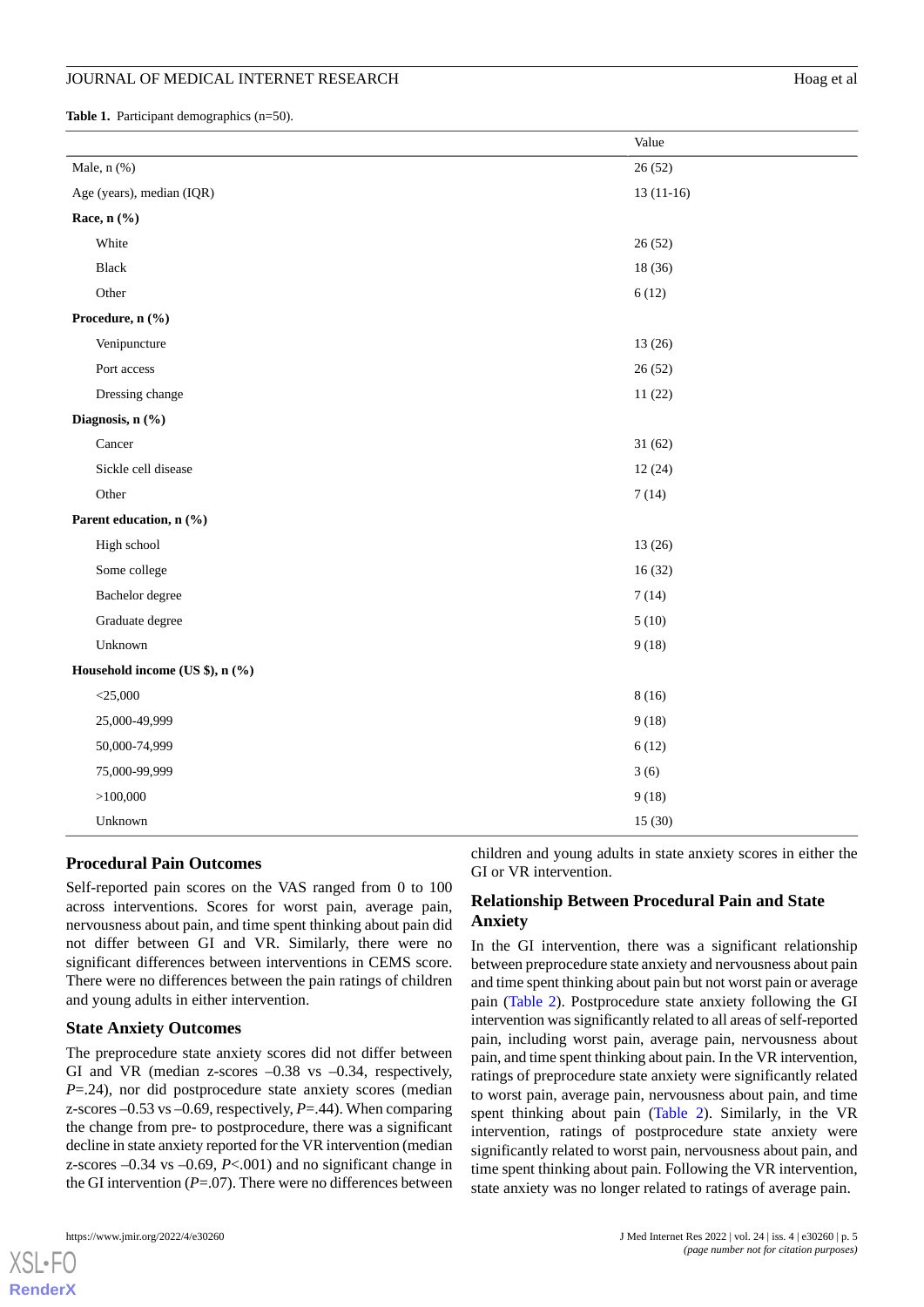#### JOURNAL OF MEDICAL INTERNET RESEARCH Hoag et al. All and the state of the Hoag et al.

<span id="page-4-0"></span>Table 1. Participant demographics (n=50).

|                                 | Value       |  |
|---------------------------------|-------------|--|
| Male, $n$ $%$ )                 | 26(52)      |  |
| Age (years), median (IQR)       | $13(11-16)$ |  |
| Race, n (%)                     |             |  |
| White                           | 26(52)      |  |
| <b>Black</b>                    | 18(36)      |  |
| Other                           | 6(12)       |  |
| Procedure, n (%)                |             |  |
| Venipuncture                    | 13(26)      |  |
| Port access                     | 26(52)      |  |
| Dressing change                 | 11(22)      |  |
| Diagnosis, n (%)                |             |  |
| Cancer                          | 31(62)      |  |
| Sickle cell disease             | 12(24)      |  |
| Other                           | 7(14)       |  |
| Parent education, n (%)         |             |  |
| High school                     | 13(26)      |  |
| Some college                    | 16(32)      |  |
| Bachelor degree                 | 7(14)       |  |
| Graduate degree                 | 5(10)       |  |
| Unknown                         | 9(18)       |  |
| Household income (US \$), n (%) |             |  |
| $<$ 25,000                      | 8(16)       |  |
| 25,000-49,999                   | 9(18)       |  |
| 50,000-74,999                   | 6(12)       |  |
| 75,000-99,999                   | 3(6)        |  |
| >100,000                        | 9(18)       |  |
| Unknown                         | 15(30)      |  |

#### **Procedural Pain Outcomes**

Self-reported pain scores on the VAS ranged from 0 to 100 across interventions. Scores for worst pain, average pain, nervousness about pain, and time spent thinking about pain did not differ between GI and VR. Similarly, there were no significant differences between interventions in CEMS score. There were no differences between the pain ratings of children and young adults in either intervention.

#### **State Anxiety Outcomes**

The preprocedure state anxiety scores did not differ between GI and VR (median z-scores  $-0.38$  vs  $-0.34$ , respectively, *P*=.24), nor did postprocedure state anxiety scores (median z-scores –0.53 vs –0.69, respectively, *P*=.44). When comparing the change from pre- to postprocedure, there was a significant decline in state anxiety reported for the VR intervention (median z-scores  $-0.34$  vs  $-0.69$ ,  $P < 0.01$ ) and no significant change in the GI intervention  $(P=07)$ . There were no differences between

[XSL](http://www.w3.org/Style/XSL)•FO **[RenderX](http://www.renderx.com/)**

children and young adults in state anxiety scores in either the GI or VR intervention.

#### **Relationship Between Procedural Pain and State Anxiety**

In the GI intervention, there was a significant relationship between preprocedure state anxiety and nervousness about pain and time spent thinking about pain but not worst pain or average pain ([Table 2](#page-5-0)). Postprocedure state anxiety following the GI intervention was significantly related to all areas of self-reported pain, including worst pain, average pain, nervousness about pain, and time spent thinking about pain. In the VR intervention, ratings of preprocedure state anxiety were significantly related to worst pain, average pain, nervousness about pain, and time spent thinking about pain [\(Table 2\)](#page-5-0). Similarly, in the VR intervention, ratings of postprocedure state anxiety were significantly related to worst pain, nervousness about pain, and time spent thinking about pain. Following the VR intervention, state anxiety was no longer related to ratings of average pain.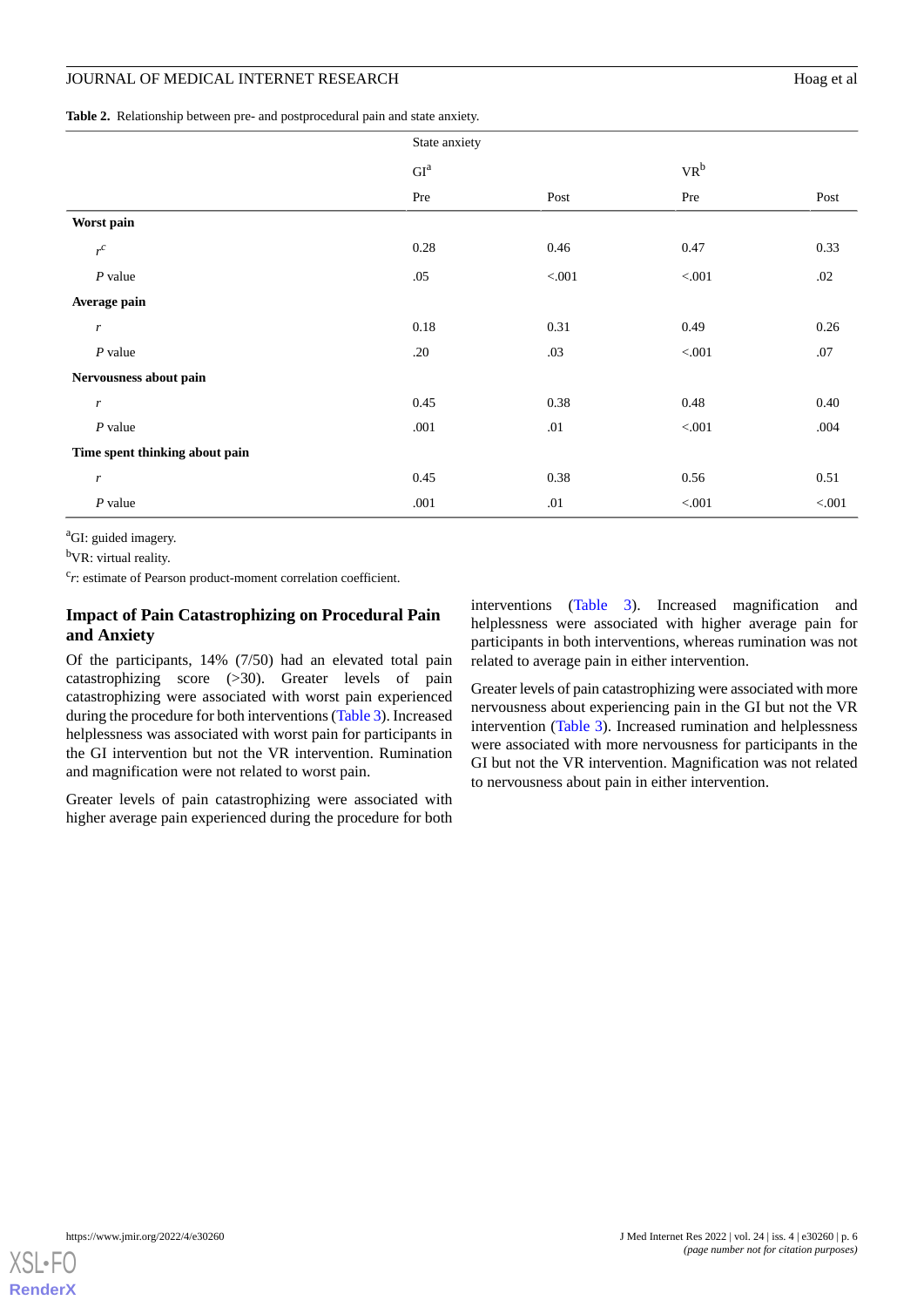# JOURNAL OF MEDICAL INTERNET RESEARCH Hoag et al

<span id="page-5-0"></span>**Table 2.** Relationship between pre- and postprocedural pain and state anxiety.

|                                | State anxiety              |         |         |        |  |
|--------------------------------|----------------------------|---------|---------|--------|--|
|                                | $\mathrm{GI}^{\mathrm{a}}$ |         | $VR^b$  |        |  |
|                                | Pre                        | Post    | Pre     | Post   |  |
| Worst pain                     |                            |         |         |        |  |
| $r^c$                          | 0.28                       | 0.46    | 0.47    | 0.33   |  |
| $P$ value                      | .05                        | < 0.01  | < 0.001 | .02    |  |
| Average pain                   |                            |         |         |        |  |
| $\boldsymbol{r}$               | 0.18                       | 0.31    | 0.49    | 0.26   |  |
| $P$ value                      | .20                        | .03     | < 0.001 | .07    |  |
| Nervousness about pain         |                            |         |         |        |  |
| $\boldsymbol{r}$               | 0.45                       | 0.38    | 0.48    | 0.40   |  |
| $P$ value                      | .001                       | $.01\,$ | < 0.001 | .004   |  |
| Time spent thinking about pain |                            |         |         |        |  |
| $\boldsymbol{r}$               | 0.45                       | 0.38    | 0.56    | 0.51   |  |
| $P$ value                      | .001                       | .01     | $< 001$ | < .001 |  |

<sup>a</sup>GI: guided imagery.

<sup>b</sup>VR: virtual reality.

<sup>c</sup>r: estimate of Pearson product-moment correlation coefficient.

# **Impact of Pain Catastrophizing on Procedural Pain and Anxiety**

Of the participants, 14% (7/50) had an elevated total pain catastrophizing score (>30). Greater levels of pain catastrophizing were associated with worst pain experienced during the procedure for both interventions ([Table 3\)](#page-6-0). Increased helplessness was associated with worst pain for participants in the GI intervention but not the VR intervention. Rumination and magnification were not related to worst pain.

Greater levels of pain catastrophizing were associated with higher average pain experienced during the procedure for both

interventions ([Table 3](#page-6-0)). Increased magnification and helplessness were associated with higher average pain for participants in both interventions, whereas rumination was not related to average pain in either intervention.

Greater levels of pain catastrophizing were associated with more nervousness about experiencing pain in the GI but not the VR intervention [\(Table 3](#page-6-0)). Increased rumination and helplessness were associated with more nervousness for participants in the GI but not the VR intervention. Magnification was not related to nervousness about pain in either intervention.

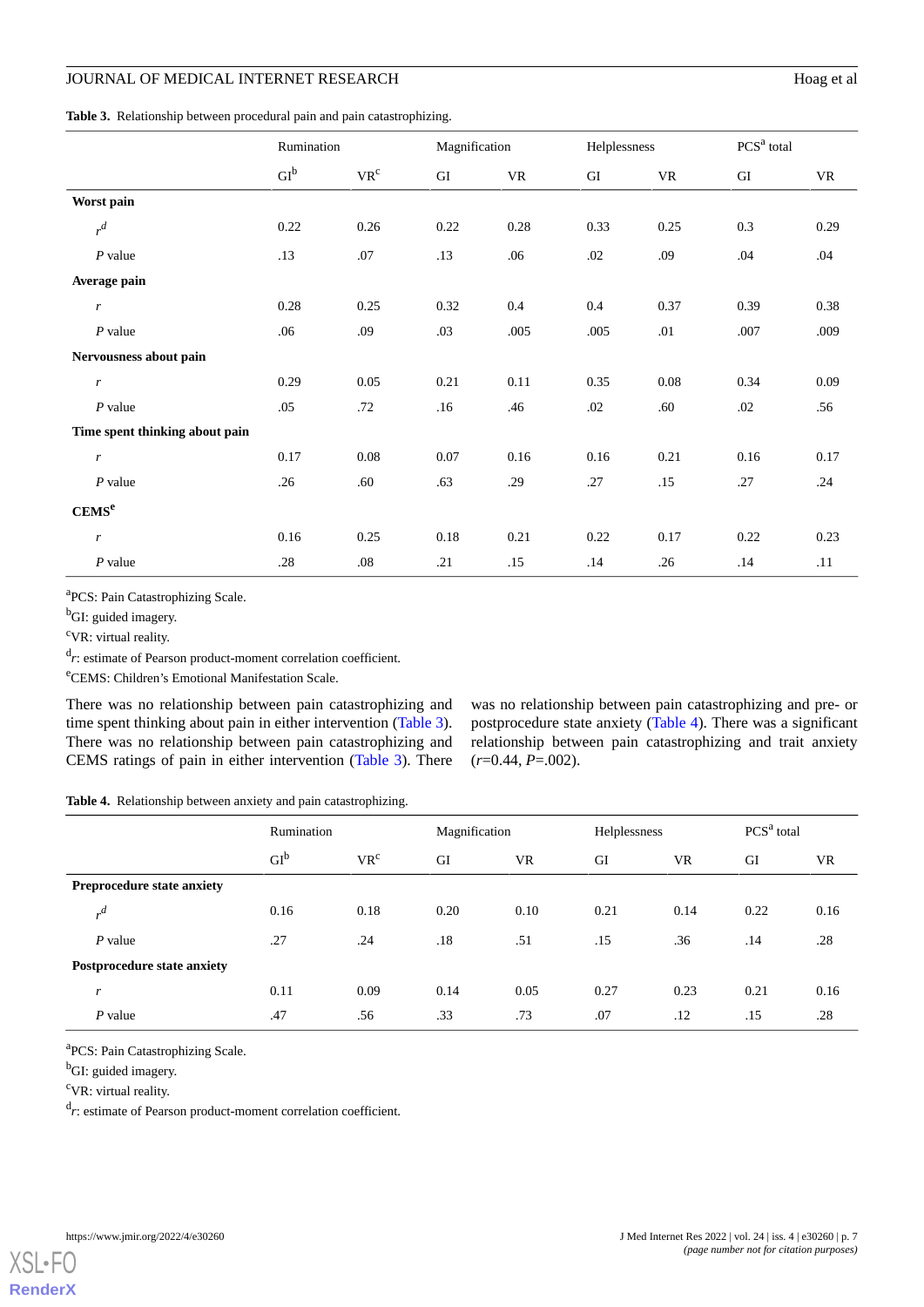# JOURNAL OF MEDICAL INTERNET RESEARCH Hoag et al.

<span id="page-6-0"></span>**Table 3.** Relationship between procedural pain and pain catastrophizing.

|                                | Rumination      |                          | Magnification |      | Helplessness |      | PCS <sup>a</sup> total |      |
|--------------------------------|-----------------|--------------------------|---------------|------|--------------|------|------------------------|------|
|                                | GI <sup>b</sup> | $\mathbf{VR}^\mathrm{c}$ | GI            | VR   | GI           | VR   | GI                     | VR   |
| Worst pain                     |                 |                          |               |      |              |      |                        |      |
| $r^d$                          | 0.22            | 0.26                     | 0.22          | 0.28 | 0.33         | 0.25 | 0.3                    | 0.29 |
| $P$ value                      | .13             | .07                      | .13           | .06  | .02          | .09  | .04                    | .04  |
| Average pain                   |                 |                          |               |      |              |      |                        |      |
| r                              | 0.28            | 0.25                     | 0.32          | 0.4  | 0.4          | 0.37 | 0.39                   | 0.38 |
| $P$ value                      | .06             | .09                      | .03           | .005 | .005         | .01  | .007                   | .009 |
| Nervousness about pain         |                 |                          |               |      |              |      |                        |      |
| r                              | 0.29            | 0.05                     | 0.21          | 0.11 | 0.35         | 0.08 | 0.34                   | 0.09 |
| $P$ value                      | .05             | .72                      | .16           | .46  | .02          | .60  | .02                    | .56  |
| Time spent thinking about pain |                 |                          |               |      |              |      |                        |      |
| $\boldsymbol{r}$               | 0.17            | $0.08\,$                 | 0.07          | 0.16 | 0.16         | 0.21 | 0.16                   | 0.17 |
| $P$ value                      | .26             | .60                      | .63           | .29  | .27          | .15  | .27                    | .24  |
| CEMS <sup>e</sup>              |                 |                          |               |      |              |      |                        |      |
| $\boldsymbol{r}$               | 0.16            | 0.25                     | 0.18          | 0.21 | 0.22         | 0.17 | 0.22                   | 0.23 |
| $P$ value                      | .28             | $.08\,$                  | .21           | .15  | .14          | .26  | .14                    | .11  |

<sup>a</sup>PCS: Pain Catastrophizing Scale.

<sup>b</sup>GI: guided imagery.

<sup>c</sup>VR: virtual reality.

<sup>d</sup>r: estimate of Pearson product-moment correlation coefficient.

<sup>e</sup>CEMS: Children's Emotional Manifestation Scale.

<span id="page-6-1"></span>There was no relationship between pain catastrophizing and time spent thinking about pain in either intervention [\(Table 3\)](#page-6-0). There was no relationship between pain catastrophizing and CEMS ratings of pain in either intervention ([Table 3](#page-6-0)). There

was no relationship between pain catastrophizing and pre- or postprocedure state anxiety [\(Table 4](#page-6-1)). There was a significant relationship between pain catastrophizing and trait anxiety (*r*=0.44, *P*=.002).

**Table 4.** Relationship between anxiety and pain catastrophizing.

|                                   |                             | Rumination      |                 | Magnification |      | Helplessness |      | PCS <sup>a</sup> total |      |
|-----------------------------------|-----------------------------|-----------------|-----------------|---------------|------|--------------|------|------------------------|------|
|                                   |                             | GI <sup>b</sup> | VR <sup>c</sup> | GI            | VR   | GI           | VR   | GI                     | VR   |
| <b>Preprocedure state anxiety</b> |                             |                 |                 |               |      |              |      |                        |      |
|                                   | $\mathcal{A}$               | 0.16            | 0.18            | 0.20          | 0.10 | 0.21         | 0.14 | 0.22                   | 0.16 |
|                                   | $P$ value                   | .27             | .24             | .18           | .51  | .15          | .36  | .14                    | .28  |
|                                   | Postprocedure state anxiety |                 |                 |               |      |              |      |                        |      |
| r                                 |                             | 0.11            | 0.09            | 0.14          | 0.05 | 0.27         | 0.23 | 0.21                   | 0.16 |
|                                   | $P$ value                   | .47             | .56             | .33           | .73  | .07          | .12  | .15                    | .28  |

<sup>a</sup>PCS: Pain Catastrophizing Scale.

<sup>b</sup>GI: guided imagery.

<sup>c</sup>VR: virtual reality.

<sup>d</sup>r: estimate of Pearson product-moment correlation coefficient.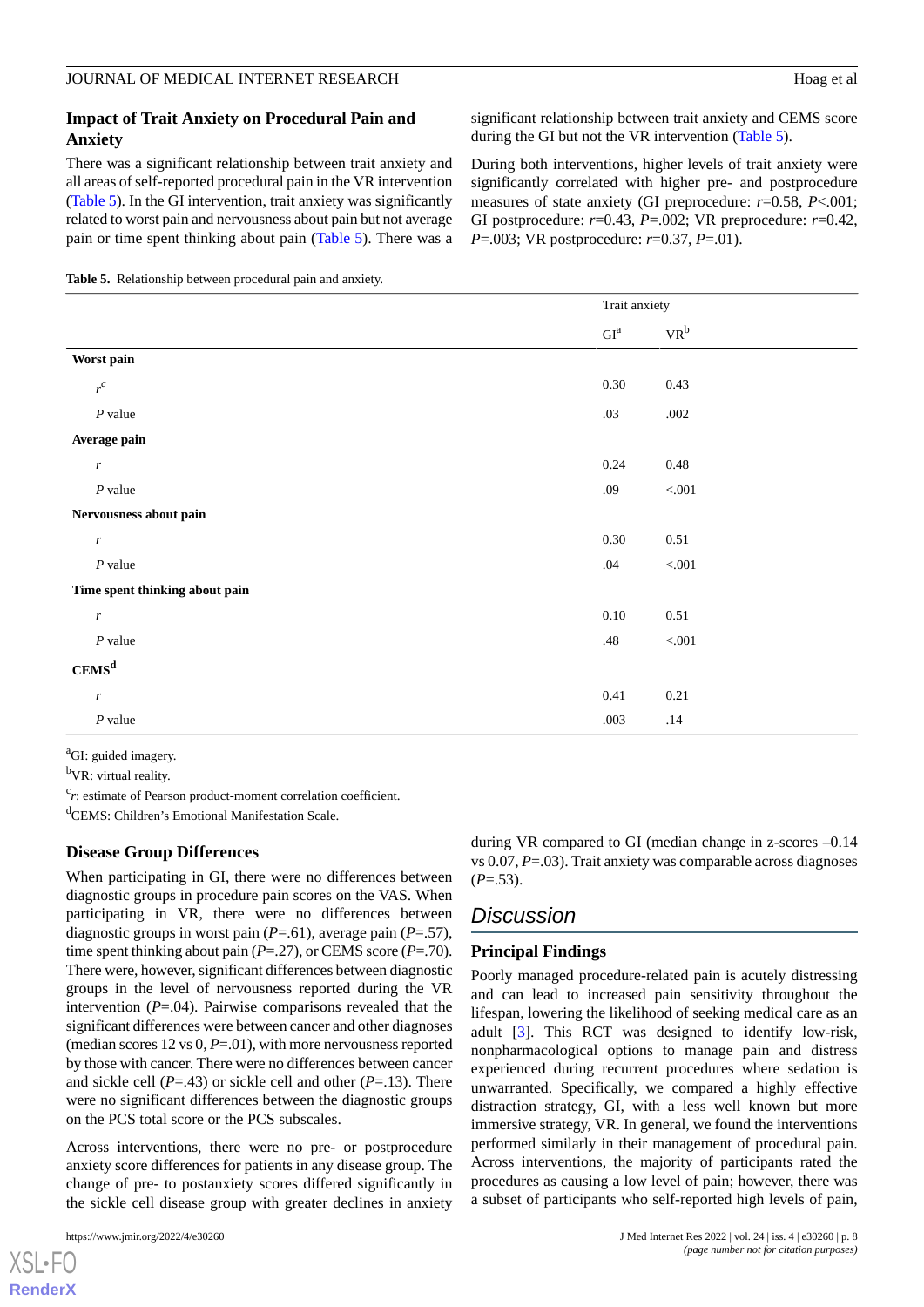### **Impact of Trait Anxiety on Procedural Pain and Anxiety**

There was a significant relationship between trait anxiety and all areas of self-reported procedural pain in the VR intervention ([Table 5](#page-7-0)). In the GI intervention, trait anxiety was significantly related to worst pain and nervousness about pain but not average pain or time spent thinking about pain ([Table 5\)](#page-7-0). There was a significant relationship between trait anxiety and CEMS score during the GI but not the VR intervention ([Table 5\)](#page-7-0).

During both interventions, higher levels of trait anxiety were significantly correlated with higher pre- and postprocedure measures of state anxiety (GI preprocedure: *r*=0.58, *P*<.001; GI postprocedure: *r*=0.43, *P*=.002; VR preprocedure: *r*=0.42, *P*=.003; VR postprocedure: *r*=0.37, *P*=.01).

<span id="page-7-0"></span>

|                                | Trait anxiety              |                            |
|--------------------------------|----------------------------|----------------------------|
|                                | $\mathrm{GI}^{\mathrm{a}}$ | $\mathbf{VR}^{\mathsf{b}}$ |
| Worst pain                     |                            |                            |
| $r^c$                          | $0.30\,$                   | 0.43                       |
| $P$ value                      | .03                        | .002                       |
| Average pain                   |                            |                            |
| $\boldsymbol{r}$               | 0.24                       | $0.48\,$                   |
| $P$ value                      | .09                        | $< 001$                    |
| Nervousness about pain         |                            |                            |
| $\boldsymbol{r}$               | $0.30\,$                   | 0.51                       |
| $P$ value                      | .04                        | $< 001$                    |
| Time spent thinking about pain |                            |                            |
| $\boldsymbol{r}$               | $0.10\,$                   | $0.51\,$                   |
| $\boldsymbol{P}$ value         | .48                        | $< 001$                    |
| CEMS <sup>d</sup>              |                            |                            |
| $\boldsymbol{r}$               | 0.41                       | 0.21                       |
| $P$ value                      | .003                       | .14                        |

<sup>a</sup>GI: guided imagery.

<sup>b</sup>VR: virtual reality.

<sup>c</sup>r: estimate of Pearson product-moment correlation coefficient.

<sup>d</sup>CEMS: Children's Emotional Manifestation Scale.

#### **Disease Group Differences**

When participating in GI, there were no differences between diagnostic groups in procedure pain scores on the VAS. When participating in VR, there were no differences between diagnostic groups in worst pain (*P*=.61), average pain (*P*=.57), time spent thinking about pain (*P*=.27), or CEMS score (*P*=.70). There were, however, significant differences between diagnostic groups in the level of nervousness reported during the VR intervention (*P*=.04). Pairwise comparisons revealed that the significant differences were between cancer and other diagnoses (median scores 12 vs 0, *P*=.01), with more nervousness reported by those with cancer. There were no differences between cancer and sickle cell (*P*=.43) or sickle cell and other (*P*=.13). There were no significant differences between the diagnostic groups on the PCS total score or the PCS subscales.

Across interventions, there were no pre- or postprocedure anxiety score differences for patients in any disease group. The change of pre- to postanxiety scores differed significantly in the sickle cell disease group with greater declines in anxiety

 $XSI - F($ **[RenderX](http://www.renderx.com/)** during VR compared to GI (median change in z-scores –0.14 vs 0.07, *P*=.03). Trait anxiety was comparable across diagnoses (*P*=.53).

# *Discussion*

# **Principal Findings**

Poorly managed procedure-related pain is acutely distressing and can lead to increased pain sensitivity throughout the lifespan, lowering the likelihood of seeking medical care as an adult [[3](#page-9-2)]. This RCT was designed to identify low-risk, nonpharmacological options to manage pain and distress experienced during recurrent procedures where sedation is unwarranted. Specifically, we compared a highly effective distraction strategy, GI, with a less well known but more immersive strategy, VR. In general, we found the interventions performed similarly in their management of procedural pain. Across interventions, the majority of participants rated the procedures as causing a low level of pain; however, there was a subset of participants who self-reported high levels of pain,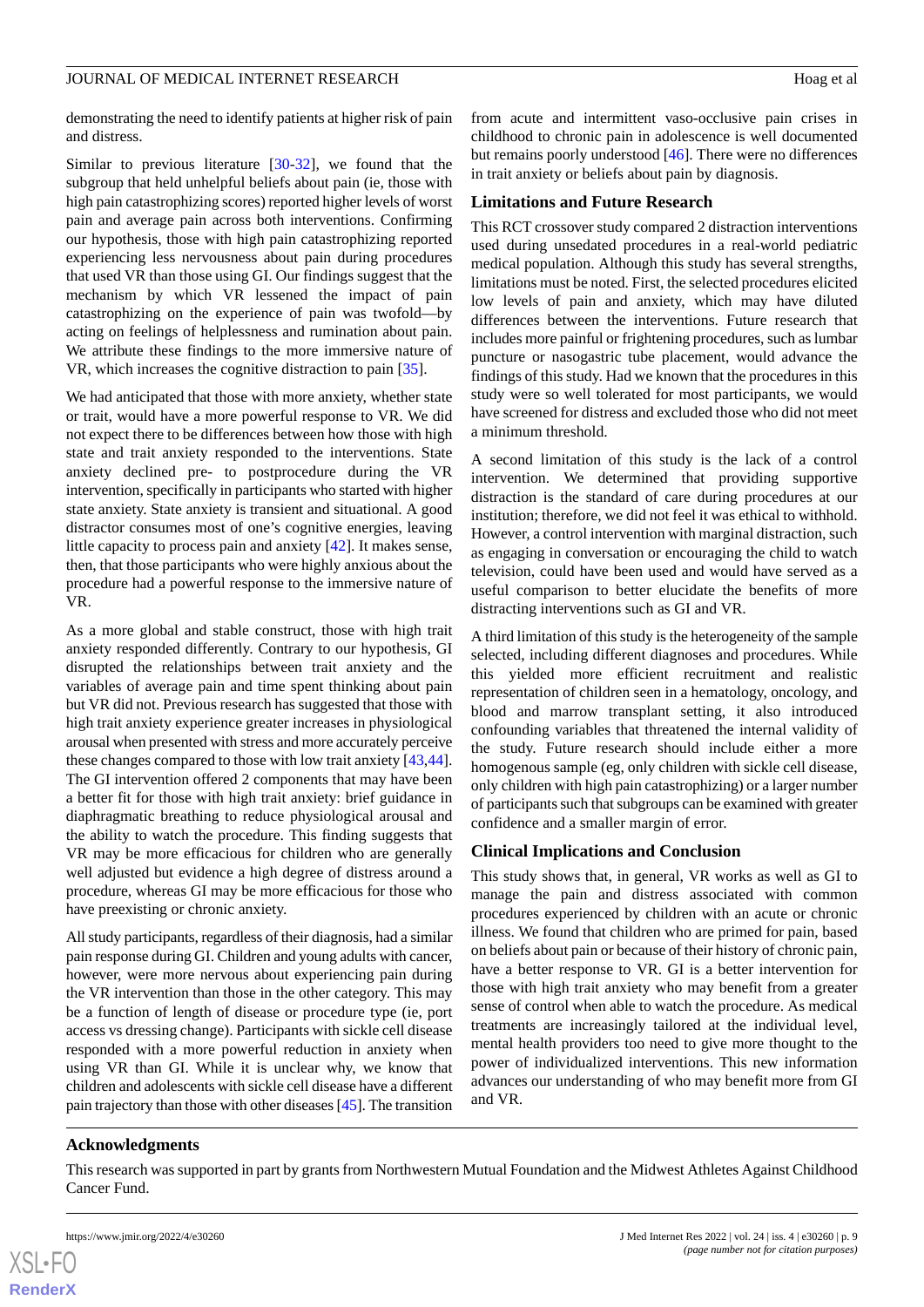#### JOURNAL OF MEDICAL INTERNET RESEARCH FOR THE SERIES OF A HOAG ET al.

demonstrating the need to identify patients at higher risk of pain and distress.

Similar to previous literature [[30-](#page-10-7)[32](#page-10-8)], we found that the subgroup that held unhelpful beliefs about pain (ie, those with high pain catastrophizing scores) reported higher levels of worst pain and average pain across both interventions. Confirming our hypothesis, those with high pain catastrophizing reported experiencing less nervousness about pain during procedures that used VR than those using GI. Our findings suggest that the mechanism by which VR lessened the impact of pain catastrophizing on the experience of pain was twofold—by acting on feelings of helplessness and rumination about pain. We attribute these findings to the more immersive nature of VR, which increases the cognitive distraction to pain [[35\]](#page-10-11).

We had anticipated that those with more anxiety, whether state or trait, would have a more powerful response to VR. We did not expect there to be differences between how those with high state and trait anxiety responded to the interventions. State anxiety declined pre- to postprocedure during the VR intervention, specifically in participants who started with higher state anxiety. State anxiety is transient and situational. A good distractor consumes most of one's cognitive energies, leaving little capacity to process pain and anxiety [[42\]](#page-10-18). It makes sense, then, that those participants who were highly anxious about the procedure had a powerful response to the immersive nature of VR.

As a more global and stable construct, those with high trait anxiety responded differently. Contrary to our hypothesis, GI disrupted the relationships between trait anxiety and the variables of average pain and time spent thinking about pain but VR did not. Previous research has suggested that those with high trait anxiety experience greater increases in physiological arousal when presented with stress and more accurately perceive these changes compared to those with low trait anxiety [\[43](#page-10-19),[44\]](#page-10-20). The GI intervention offered 2 components that may have been a better fit for those with high trait anxiety: brief guidance in diaphragmatic breathing to reduce physiological arousal and the ability to watch the procedure. This finding suggests that VR may be more efficacious for children who are generally well adjusted but evidence a high degree of distress around a procedure, whereas GI may be more efficacious for those who have preexisting or chronic anxiety.

All study participants, regardless of their diagnosis, had a similar pain response during GI. Children and young adults with cancer, however, were more nervous about experiencing pain during the VR intervention than those in the other category. This may be a function of length of disease or procedure type (ie, port access vs dressing change). Participants with sickle cell disease responded with a more powerful reduction in anxiety when using VR than GI. While it is unclear why, we know that children and adolescents with sickle cell disease have a different pain trajectory than those with other diseases [\[45](#page-11-0)]. The transition

from acute and intermittent vaso-occlusive pain crises in childhood to chronic pain in adolescence is well documented but remains poorly understood [[46\]](#page-11-1). There were no differences in trait anxiety or beliefs about pain by diagnosis.

# **Limitations and Future Research**

This RCT crossover study compared 2 distraction interventions used during unsedated procedures in a real-world pediatric medical population. Although this study has several strengths, limitations must be noted. First, the selected procedures elicited low levels of pain and anxiety, which may have diluted differences between the interventions. Future research that includes more painful or frightening procedures, such as lumbar puncture or nasogastric tube placement, would advance the findings of this study. Had we known that the procedures in this study were so well tolerated for most participants, we would have screened for distress and excluded those who did not meet a minimum threshold.

A second limitation of this study is the lack of a control intervention. We determined that providing supportive distraction is the standard of care during procedures at our institution; therefore, we did not feel it was ethical to withhold. However, a control intervention with marginal distraction, such as engaging in conversation or encouraging the child to watch television, could have been used and would have served as a useful comparison to better elucidate the benefits of more distracting interventions such as GI and VR.

A third limitation of this study is the heterogeneity of the sample selected, including different diagnoses and procedures. While this yielded more efficient recruitment and realistic representation of children seen in a hematology, oncology, and blood and marrow transplant setting, it also introduced confounding variables that threatened the internal validity of the study. Future research should include either a more homogenous sample (eg, only children with sickle cell disease, only children with high pain catastrophizing) or a larger number of participants such that subgroups can be examined with greater confidence and a smaller margin of error.

# **Clinical Implications and Conclusion**

This study shows that, in general, VR works as well as GI to manage the pain and distress associated with common procedures experienced by children with an acute or chronic illness. We found that children who are primed for pain, based on beliefs about pain or because of their history of chronic pain, have a better response to VR. GI is a better intervention for those with high trait anxiety who may benefit from a greater sense of control when able to watch the procedure. As medical treatments are increasingly tailored at the individual level, mental health providers too need to give more thought to the power of individualized interventions. This new information advances our understanding of who may benefit more from GI and VR.

# **Acknowledgments**

This research was supported in part by grants from Northwestern Mutual Foundation and the Midwest Athletes Against Childhood Cancer Fund.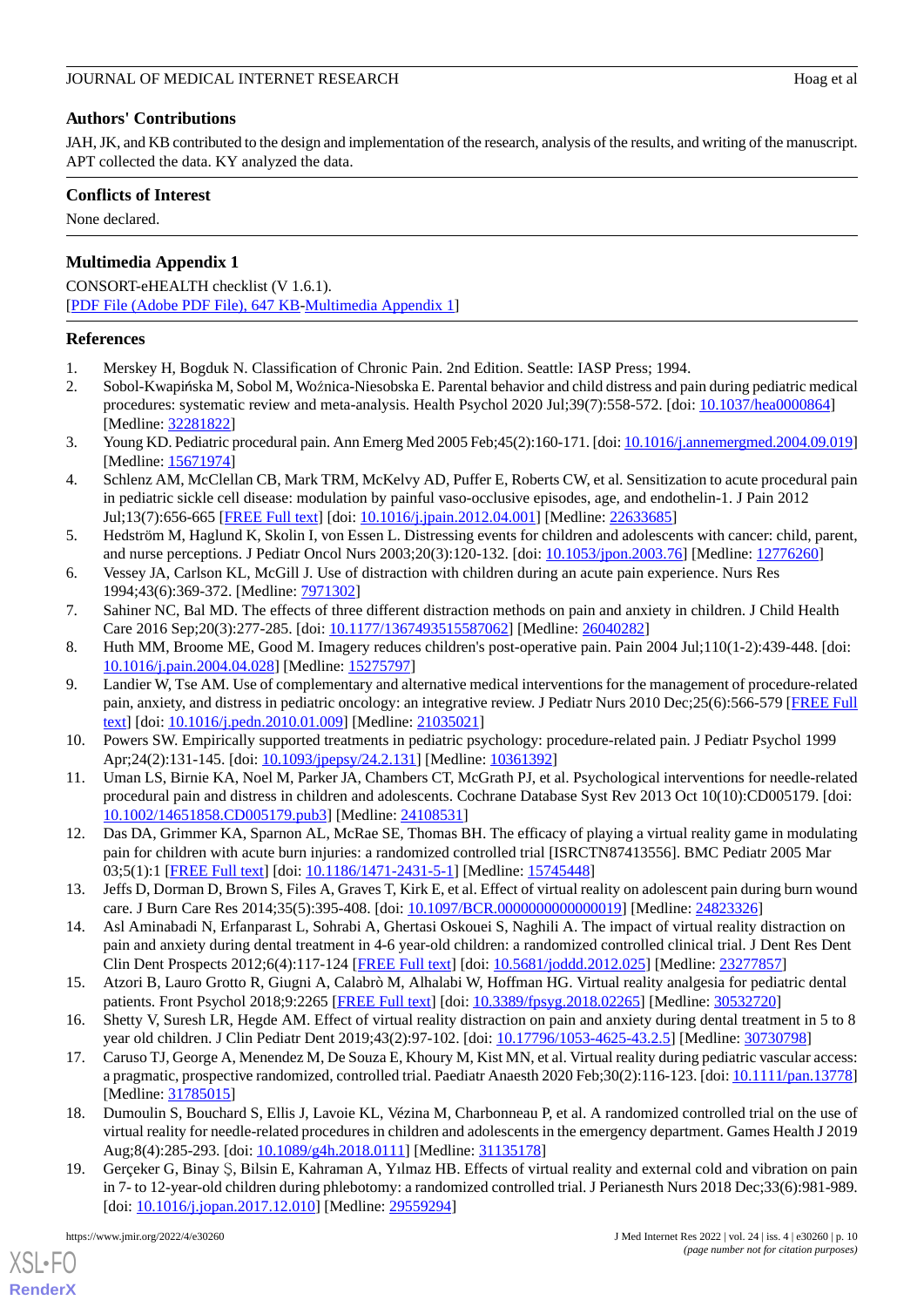# **Authors' Contributions**

JAH, JK, and KB contributed to the design and implementation of the research, analysis of the results, and writing of the manuscript. APT collected the data. KY analyzed the data.

# **Conflicts of Interest**

None declared.

# **Multimedia Appendix 1**

CONSORT-eHEALTH checklist (V 1.6.1). [[PDF File \(Adobe PDF File\), 647 KB](https://jmir.org/api/download?alt_name=jmir_v24i4e30260_app1.pdf&filename=ba1df33ef291c0fe6bc54216d45f8c5e.pdf)-[Multimedia Appendix 1\]](https://jmir.org/api/download?alt_name=jmir_v24i4e30260_app1.pdf&filename=ba1df33ef291c0fe6bc54216d45f8c5e.pdf)

# <span id="page-9-1"></span><span id="page-9-0"></span>**References**

- 1. Merskey H, Bogduk N. Classification of Chronic Pain. 2nd Edition. Seattle: IASP Press; 1994.
- <span id="page-9-2"></span>2. Sobol-Kwapińska M, Sobol M, Woźnica-Niesobska E. Parental behavior and child distress and pain during pediatric medical procedures: systematic review and meta-analysis. Health Psychol 2020 Jul;39(7):558-572. [doi: [10.1037/hea0000864](http://dx.doi.org/10.1037/hea0000864)] [Medline: [32281822](http://www.ncbi.nlm.nih.gov/entrez/query.fcgi?cmd=Retrieve&db=PubMed&list_uids=32281822&dopt=Abstract)]
- <span id="page-9-3"></span>3. Young KD. Pediatric procedural pain. Ann Emerg Med 2005 Feb;45(2):160-171. [doi: [10.1016/j.annemergmed.2004.09.019\]](http://dx.doi.org/10.1016/j.annemergmed.2004.09.019) [Medline: [15671974](http://www.ncbi.nlm.nih.gov/entrez/query.fcgi?cmd=Retrieve&db=PubMed&list_uids=15671974&dopt=Abstract)]
- <span id="page-9-4"></span>4. Schlenz AM, McClellan CB, Mark TRM, McKelvy AD, Puffer E, Roberts CW, et al. Sensitization to acute procedural pain in pediatric sickle cell disease: modulation by painful vaso-occlusive episodes, age, and endothelin-1. J Pain 2012 Jul;13(7):656-665 [[FREE Full text\]](http://europepmc.org/abstract/MED/22633685) [doi: [10.1016/j.jpain.2012.04.001](http://dx.doi.org/10.1016/j.jpain.2012.04.001)] [Medline: [22633685](http://www.ncbi.nlm.nih.gov/entrez/query.fcgi?cmd=Retrieve&db=PubMed&list_uids=22633685&dopt=Abstract)]
- <span id="page-9-6"></span><span id="page-9-5"></span>5. Hedström M, Haglund K, Skolin I, von Essen L. Distressing events for children and adolescents with cancer: child, parent, and nurse perceptions. J Pediatr Oncol Nurs 2003;20(3):120-132. [doi: [10.1053/jpon.2003.76\]](http://dx.doi.org/10.1053/jpon.2003.76) [Medline: [12776260\]](http://www.ncbi.nlm.nih.gov/entrez/query.fcgi?cmd=Retrieve&db=PubMed&list_uids=12776260&dopt=Abstract)
- <span id="page-9-7"></span>6. Vessey JA, Carlson KL, McGill J. Use of distraction with children during an acute pain experience. Nurs Res 1994;43(6):369-372. [Medline: [7971302](http://www.ncbi.nlm.nih.gov/entrez/query.fcgi?cmd=Retrieve&db=PubMed&list_uids=7971302&dopt=Abstract)]
- 7. Sahiner NC, Bal MD. The effects of three different distraction methods on pain and anxiety in children. J Child Health Care 2016 Sep;20(3):277-285. [doi: [10.1177/1367493515587062\]](http://dx.doi.org/10.1177/1367493515587062) [Medline: [26040282](http://www.ncbi.nlm.nih.gov/entrez/query.fcgi?cmd=Retrieve&db=PubMed&list_uids=26040282&dopt=Abstract)]
- 8. Huth MM, Broome ME, Good M. Imagery reduces children's post-operative pain. Pain 2004 Jul;110(1-2):439-448. [doi: [10.1016/j.pain.2004.04.028\]](http://dx.doi.org/10.1016/j.pain.2004.04.028) [Medline: [15275797\]](http://www.ncbi.nlm.nih.gov/entrez/query.fcgi?cmd=Retrieve&db=PubMed&list_uids=15275797&dopt=Abstract)
- <span id="page-9-8"></span>9. Landier W, Tse AM. Use of complementary and alternative medical interventions for the management of procedure-related pain, anxiety, and distress in pediatric oncology: an integrative review. J Pediatr Nurs 2010 Dec;25(6):566-579 [[FREE Full](http://europepmc.org/abstract/MED/21035021) [text](http://europepmc.org/abstract/MED/21035021)] [doi: [10.1016/j.pedn.2010.01.009](http://dx.doi.org/10.1016/j.pedn.2010.01.009)] [Medline: [21035021\]](http://www.ncbi.nlm.nih.gov/entrez/query.fcgi?cmd=Retrieve&db=PubMed&list_uids=21035021&dopt=Abstract)
- <span id="page-9-9"></span>10. Powers SW. Empirically supported treatments in pediatric psychology: procedure-related pain. J Pediatr Psychol 1999 Apr;24(2):131-145. [doi: [10.1093/jpepsy/24.2.131](http://dx.doi.org/10.1093/jpepsy/24.2.131)] [Medline: [10361392\]](http://www.ncbi.nlm.nih.gov/entrez/query.fcgi?cmd=Retrieve&db=PubMed&list_uids=10361392&dopt=Abstract)
- <span id="page-9-10"></span>11. Uman LS, Birnie KA, Noel M, Parker JA, Chambers CT, McGrath PJ, et al. Psychological interventions for needle-related procedural pain and distress in children and adolescents. Cochrane Database Syst Rev 2013 Oct 10(10):CD005179. [doi: [10.1002/14651858.CD005179.pub3\]](http://dx.doi.org/10.1002/14651858.CD005179.pub3) [Medline: [24108531](http://www.ncbi.nlm.nih.gov/entrez/query.fcgi?cmd=Retrieve&db=PubMed&list_uids=24108531&dopt=Abstract)]
- <span id="page-9-11"></span>12. Das DA, Grimmer KA, Sparnon AL, McRae SE, Thomas BH. The efficacy of playing a virtual reality game in modulating pain for children with acute burn injuries: a randomized controlled trial [ISRCTN87413556]. BMC Pediatr 2005 Mar 03;5(1):1 [[FREE Full text\]](https://bmcpediatr.biomedcentral.com/articles/10.1186/1471-2431-5-1) [doi: [10.1186/1471-2431-5-1](http://dx.doi.org/10.1186/1471-2431-5-1)] [Medline: [15745448](http://www.ncbi.nlm.nih.gov/entrez/query.fcgi?cmd=Retrieve&db=PubMed&list_uids=15745448&dopt=Abstract)]
- 13. Jeffs D, Dorman D, Brown S, Files A, Graves T, Kirk E, et al. Effect of virtual reality on adolescent pain during burn wound care. J Burn Care Res 2014;35(5):395-408. [doi: [10.1097/BCR.0000000000000019\]](http://dx.doi.org/10.1097/BCR.0000000000000019) [Medline: [24823326](http://www.ncbi.nlm.nih.gov/entrez/query.fcgi?cmd=Retrieve&db=PubMed&list_uids=24823326&dopt=Abstract)]
- <span id="page-9-13"></span><span id="page-9-12"></span>14. Asl Aminabadi N, Erfanparast L, Sohrabi A, Ghertasi Oskouei S, Naghili A. The impact of virtual reality distraction on pain and anxiety during dental treatment in 4-6 year-old children: a randomized controlled clinical trial. J Dent Res Dent Clin Dent Prospects 2012;6(4):117-124 [\[FREE Full text\]](http://europepmc.org/abstract/MED/23277857) [doi: [10.5681/joddd.2012.025](http://dx.doi.org/10.5681/joddd.2012.025)] [Medline: [23277857\]](http://www.ncbi.nlm.nih.gov/entrez/query.fcgi?cmd=Retrieve&db=PubMed&list_uids=23277857&dopt=Abstract)
- 15. Atzori B, Lauro Grotto R, Giugni A, Calabrò M, Alhalabi W, Hoffman HG. Virtual reality analgesia for pediatric dental patients. Front Psychol 2018;9:2265 [\[FREE Full text\]](https://doi.org/10.3389/fpsyg.2018.02265) [doi: [10.3389/fpsyg.2018.02265](http://dx.doi.org/10.3389/fpsyg.2018.02265)] [Medline: [30532720](http://www.ncbi.nlm.nih.gov/entrez/query.fcgi?cmd=Retrieve&db=PubMed&list_uids=30532720&dopt=Abstract)]
- 16. Shetty V, Suresh LR, Hegde AM. Effect of virtual reality distraction on pain and anxiety during dental treatment in 5 to 8 year old children. J Clin Pediatr Dent 2019;43(2):97-102. [doi: [10.17796/1053-4625-43.2.5](http://dx.doi.org/10.17796/1053-4625-43.2.5)] [Medline: [30730798\]](http://www.ncbi.nlm.nih.gov/entrez/query.fcgi?cmd=Retrieve&db=PubMed&list_uids=30730798&dopt=Abstract)
- 17. Caruso TJ, George A, Menendez M, De Souza E, Khoury M, Kist MN, et al. Virtual reality during pediatric vascular access: a pragmatic, prospective randomized, controlled trial. Paediatr Anaesth 2020 Feb;30(2):116-123. [doi: [10.1111/pan.13778](http://dx.doi.org/10.1111/pan.13778)] [Medline: [31785015](http://www.ncbi.nlm.nih.gov/entrez/query.fcgi?cmd=Retrieve&db=PubMed&list_uids=31785015&dopt=Abstract)]
- 18. Dumoulin S, Bouchard S, Ellis J, Lavoie KL, Vézina M, Charbonneau P, et al. A randomized controlled trial on the use of virtual reality for needle-related procedures in children and adolescents in the emergency department. Games Health J 2019 Aug;8(4):285-293. [doi: [10.1089/g4h.2018.0111\]](http://dx.doi.org/10.1089/g4h.2018.0111) [Medline: [31135178\]](http://www.ncbi.nlm.nih.gov/entrez/query.fcgi?cmd=Retrieve&db=PubMed&list_uids=31135178&dopt=Abstract)
- 19. Gerçeker G, Binay Ş, Bilsin E, Kahraman A, Yılmaz HB. Effects of virtual reality and external cold and vibration on pain in 7- to 12-year-old children during phlebotomy: a randomized controlled trial. J Perianesth Nurs 2018 Dec;33(6):981-989. [doi: [10.1016/j.jopan.2017.12.010](http://dx.doi.org/10.1016/j.jopan.2017.12.010)] [Medline: [29559294\]](http://www.ncbi.nlm.nih.gov/entrez/query.fcgi?cmd=Retrieve&db=PubMed&list_uids=29559294&dopt=Abstract)

[XSL](http://www.w3.org/Style/XSL)•FO **[RenderX](http://www.renderx.com/)**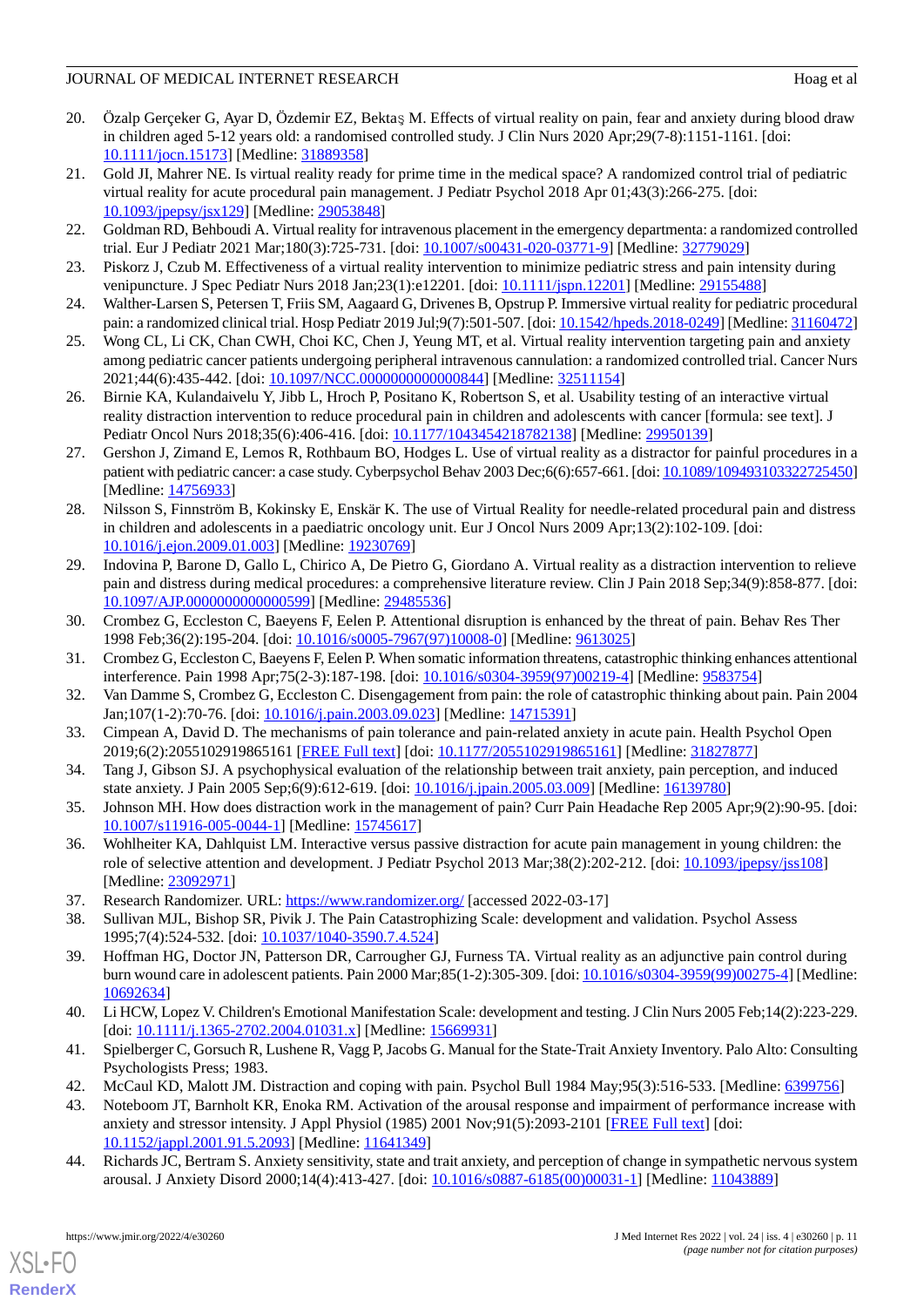# JOURNAL OF MEDICAL INTERNET RESEARCH FOR THE SERIES OF MEDICAL INTERNET RESEARCH

- <span id="page-10-4"></span>20. Özalp Gerçeker G, Ayar D, Özdemir EZ, Bektaş M. Effects of virtual reality on pain, fear and anxiety during blood draw in children aged 5-12 years old: a randomised controlled study. J Clin Nurs 2020 Apr;29(7-8):1151-1161. [doi: [10.1111/jocn.15173](http://dx.doi.org/10.1111/jocn.15173)] [Medline: [31889358](http://www.ncbi.nlm.nih.gov/entrez/query.fcgi?cmd=Retrieve&db=PubMed&list_uids=31889358&dopt=Abstract)]
- <span id="page-10-5"></span>21. Gold JI, Mahrer NE. Is virtual reality ready for prime time in the medical space? A randomized control trial of pediatric virtual reality for acute procedural pain management. J Pediatr Psychol 2018 Apr 01;43(3):266-275. [doi: [10.1093/jpepsy/jsx129](http://dx.doi.org/10.1093/jpepsy/jsx129)] [Medline: [29053848](http://www.ncbi.nlm.nih.gov/entrez/query.fcgi?cmd=Retrieve&db=PubMed&list_uids=29053848&dopt=Abstract)]
- <span id="page-10-6"></span>22. Goldman RD, Behboudi A. Virtual reality for intravenous placement in the emergency departmenta: a randomized controlled trial. Eur J Pediatr 2021 Mar;180(3):725-731. [doi: [10.1007/s00431-020-03771-9](http://dx.doi.org/10.1007/s00431-020-03771-9)] [Medline: [32779029\]](http://www.ncbi.nlm.nih.gov/entrez/query.fcgi?cmd=Retrieve&db=PubMed&list_uids=32779029&dopt=Abstract)
- 23. Piskorz J, Czub M. Effectiveness of a virtual reality intervention to minimize pediatric stress and pain intensity during venipuncture. J Spec Pediatr Nurs 2018 Jan;23(1):e12201. [doi: [10.1111/jspn.12201](http://dx.doi.org/10.1111/jspn.12201)] [Medline: [29155488\]](http://www.ncbi.nlm.nih.gov/entrez/query.fcgi?cmd=Retrieve&db=PubMed&list_uids=29155488&dopt=Abstract)
- <span id="page-10-0"></span>24. Walther-Larsen S, Petersen T, Friis SM, Aagaard G, Drivenes B, Opstrup P. Immersive virtual reality for pediatric procedural pain: a randomized clinical trial. Hosp Pediatr 2019 Jul;9(7):501-507. [doi: [10.1542/hpeds.2018-0249\]](http://dx.doi.org/10.1542/hpeds.2018-0249) [Medline: [31160472\]](http://www.ncbi.nlm.nih.gov/entrez/query.fcgi?cmd=Retrieve&db=PubMed&list_uids=31160472&dopt=Abstract)
- <span id="page-10-1"></span>25. Wong CL, Li CK, Chan CWH, Choi KC, Chen J, Yeung MT, et al. Virtual reality intervention targeting pain and anxiety among pediatric cancer patients undergoing peripheral intravenous cannulation: a randomized controlled trial. Cancer Nurs 2021;44(6):435-442. [doi: [10.1097/NCC.0000000000000844\]](http://dx.doi.org/10.1097/NCC.0000000000000844) [Medline: [32511154\]](http://www.ncbi.nlm.nih.gov/entrez/query.fcgi?cmd=Retrieve&db=PubMed&list_uids=32511154&dopt=Abstract)
- 26. Birnie KA, Kulandaivelu Y, Jibb L, Hroch P, Positano K, Robertson S, et al. Usability testing of an interactive virtual reality distraction intervention to reduce procedural pain in children and adolescents with cancer [formula: see text]. J Pediatr Oncol Nurs 2018;35(6):406-416. [doi: [10.1177/1043454218782138](http://dx.doi.org/10.1177/1043454218782138)] [Medline: [29950139](http://www.ncbi.nlm.nih.gov/entrez/query.fcgi?cmd=Retrieve&db=PubMed&list_uids=29950139&dopt=Abstract)]
- <span id="page-10-2"></span>27. Gershon J, Zimand E, Lemos R, Rothbaum BO, Hodges L. Use of virtual reality as a distractor for painful procedures in a patient with pediatric cancer: a case study. Cyberpsychol Behav 2003 Dec;6(6):657-661. [doi: [10.1089/109493103322725450\]](http://dx.doi.org/10.1089/109493103322725450) [Medline: [14756933](http://www.ncbi.nlm.nih.gov/entrez/query.fcgi?cmd=Retrieve&db=PubMed&list_uids=14756933&dopt=Abstract)]
- <span id="page-10-3"></span>28. Nilsson S, Finnström B, Kokinsky E, Enskär K. The use of Virtual Reality for needle-related procedural pain and distress in children and adolescents in a paediatric oncology unit. Eur J Oncol Nurs 2009 Apr;13(2):102-109. [doi: [10.1016/j.ejon.2009.01.003\]](http://dx.doi.org/10.1016/j.ejon.2009.01.003) [Medline: [19230769\]](http://www.ncbi.nlm.nih.gov/entrez/query.fcgi?cmd=Retrieve&db=PubMed&list_uids=19230769&dopt=Abstract)
- <span id="page-10-7"></span>29. Indovina P, Barone D, Gallo L, Chirico A, De Pietro G, Giordano A. Virtual reality as a distraction intervention to relieve pain and distress during medical procedures: a comprehensive literature review. Clin J Pain 2018 Sep;34(9):858-877. [doi: [10.1097/AJP.0000000000000599\]](http://dx.doi.org/10.1097/AJP.0000000000000599) [Medline: [29485536\]](http://www.ncbi.nlm.nih.gov/entrez/query.fcgi?cmd=Retrieve&db=PubMed&list_uids=29485536&dopt=Abstract)
- <span id="page-10-8"></span>30. Crombez G, Eccleston C, Baeyens F, Eelen P. Attentional disruption is enhanced by the threat of pain. Behav Res Ther 1998 Feb;36(2):195-204. [doi: [10.1016/s0005-7967\(97\)10008-0\]](http://dx.doi.org/10.1016/s0005-7967(97)10008-0) [Medline: [9613025](http://www.ncbi.nlm.nih.gov/entrez/query.fcgi?cmd=Retrieve&db=PubMed&list_uids=9613025&dopt=Abstract)]
- <span id="page-10-9"></span>31. Crombez G, Eccleston C, Baeyens F, Eelen P. When somatic information threatens, catastrophic thinking enhances attentional interference. Pain 1998 Apr;75(2-3):187-198. [doi: [10.1016/s0304-3959\(97\)00219-4](http://dx.doi.org/10.1016/s0304-3959(97)00219-4)] [Medline: [9583754\]](http://www.ncbi.nlm.nih.gov/entrez/query.fcgi?cmd=Retrieve&db=PubMed&list_uids=9583754&dopt=Abstract)
- <span id="page-10-10"></span>32. Van Damme S, Crombez G, Eccleston C. Disengagement from pain: the role of catastrophic thinking about pain. Pain 2004 Jan;107(1-2):70-76. [doi: [10.1016/j.pain.2003.09.023](http://dx.doi.org/10.1016/j.pain.2003.09.023)] [Medline: [14715391](http://www.ncbi.nlm.nih.gov/entrez/query.fcgi?cmd=Retrieve&db=PubMed&list_uids=14715391&dopt=Abstract)]
- <span id="page-10-11"></span>33. Cimpean A, David D. The mechanisms of pain tolerance and pain-related anxiety in acute pain. Health Psychol Open 2019;6(2):2055102919865161 [[FREE Full text\]](https://journals.sagepub.com/doi/10.1177/2055102919865161?url_ver=Z39.88-2003&rfr_id=ori:rid:crossref.org&rfr_dat=cr_pub%3dpubmed) [doi: [10.1177/2055102919865161\]](http://dx.doi.org/10.1177/2055102919865161) [Medline: [31827877](http://www.ncbi.nlm.nih.gov/entrez/query.fcgi?cmd=Retrieve&db=PubMed&list_uids=31827877&dopt=Abstract)]
- <span id="page-10-12"></span>34. Tang J, Gibson SJ. A psychophysical evaluation of the relationship between trait anxiety, pain perception, and induced state anxiety. J Pain 2005 Sep;6(9):612-619. [doi: [10.1016/j.jpain.2005.03.009](http://dx.doi.org/10.1016/j.jpain.2005.03.009)] [Medline: [16139780\]](http://www.ncbi.nlm.nih.gov/entrez/query.fcgi?cmd=Retrieve&db=PubMed&list_uids=16139780&dopt=Abstract)
- <span id="page-10-13"></span>35. Johnson MH. How does distraction work in the management of pain? Curr Pain Headache Rep 2005 Apr;9(2):90-95. [doi: [10.1007/s11916-005-0044-1\]](http://dx.doi.org/10.1007/s11916-005-0044-1) [Medline: [15745617](http://www.ncbi.nlm.nih.gov/entrez/query.fcgi?cmd=Retrieve&db=PubMed&list_uids=15745617&dopt=Abstract)]
- <span id="page-10-15"></span><span id="page-10-14"></span>36. Wohlheiter KA, Dahlquist LM. Interactive versus passive distraction for acute pain management in young children: the role of selective attention and development. J Pediatr Psychol 2013 Mar;38(2):202-212. [doi: [10.1093/jpepsy/jss108](http://dx.doi.org/10.1093/jpepsy/jss108)] [Medline: [23092971](http://www.ncbi.nlm.nih.gov/entrez/query.fcgi?cmd=Retrieve&db=PubMed&list_uids=23092971&dopt=Abstract)]
- 37. Research Randomizer. URL:<https://www.randomizer.org/> [accessed 2022-03-17]
- <span id="page-10-16"></span>38. Sullivan MJL, Bishop SR, Pivik J. The Pain Catastrophizing Scale: development and validation. Psychol Assess 1995;7(4):524-532. [doi: [10.1037/1040-3590.7.4.524\]](http://dx.doi.org/10.1037/1040-3590.7.4.524)
- <span id="page-10-18"></span><span id="page-10-17"></span>39. Hoffman HG, Doctor JN, Patterson DR, Carrougher GJ, Furness TA. Virtual reality as an adjunctive pain control during burn wound care in adolescent patients. Pain 2000 Mar;85(1-2):305-309. [doi: [10.1016/s0304-3959\(99\)00275-4](http://dx.doi.org/10.1016/s0304-3959(99)00275-4)] [Medline: [10692634](http://www.ncbi.nlm.nih.gov/entrez/query.fcgi?cmd=Retrieve&db=PubMed&list_uids=10692634&dopt=Abstract)]
- <span id="page-10-19"></span>40. Li HCW, Lopez V. Children's Emotional Manifestation Scale: development and testing. J Clin Nurs 2005 Feb;14(2):223-229. [doi: [10.1111/j.1365-2702.2004.01031.x](http://dx.doi.org/10.1111/j.1365-2702.2004.01031.x)] [Medline: [15669931](http://www.ncbi.nlm.nih.gov/entrez/query.fcgi?cmd=Retrieve&db=PubMed&list_uids=15669931&dopt=Abstract)]
- <span id="page-10-20"></span>41. Spielberger C, Gorsuch R, Lushene R, Vagg P, Jacobs G. Manual for the State-Trait Anxiety Inventory. Palo Alto: Consulting Psychologists Press; 1983.
- 42. McCaul KD, Malott JM. Distraction and coping with pain. Psychol Bull 1984 May;95(3):516-533. [Medline: [6399756\]](http://www.ncbi.nlm.nih.gov/entrez/query.fcgi?cmd=Retrieve&db=PubMed&list_uids=6399756&dopt=Abstract)
- 43. Noteboom JT, Barnholt KR, Enoka RM. Activation of the arousal response and impairment of performance increase with anxiety and stressor intensity. J Appl Physiol (1985) 2001 Nov;91(5):2093-2101 [[FREE Full text](https://journals.physiology.org/doi/10.1152/jappl.2001.91.5.2093?url_ver=Z39.88-2003&rfr_id=ori:rid:crossref.org&rfr_dat=cr_pub%3dpubmed)] [doi: [10.1152/jappl.2001.91.5.2093\]](http://dx.doi.org/10.1152/jappl.2001.91.5.2093) [Medline: [11641349\]](http://www.ncbi.nlm.nih.gov/entrez/query.fcgi?cmd=Retrieve&db=PubMed&list_uids=11641349&dopt=Abstract)
- 44. Richards JC, Bertram S. Anxiety sensitivity, state and trait anxiety, and perception of change in sympathetic nervous system arousal. J Anxiety Disord 2000;14(4):413-427. [doi: [10.1016/s0887-6185\(00\)00031-1\]](http://dx.doi.org/10.1016/s0887-6185(00)00031-1) [Medline: [11043889](http://www.ncbi.nlm.nih.gov/entrez/query.fcgi?cmd=Retrieve&db=PubMed&list_uids=11043889&dopt=Abstract)]

[XSL](http://www.w3.org/Style/XSL)•FO **[RenderX](http://www.renderx.com/)**